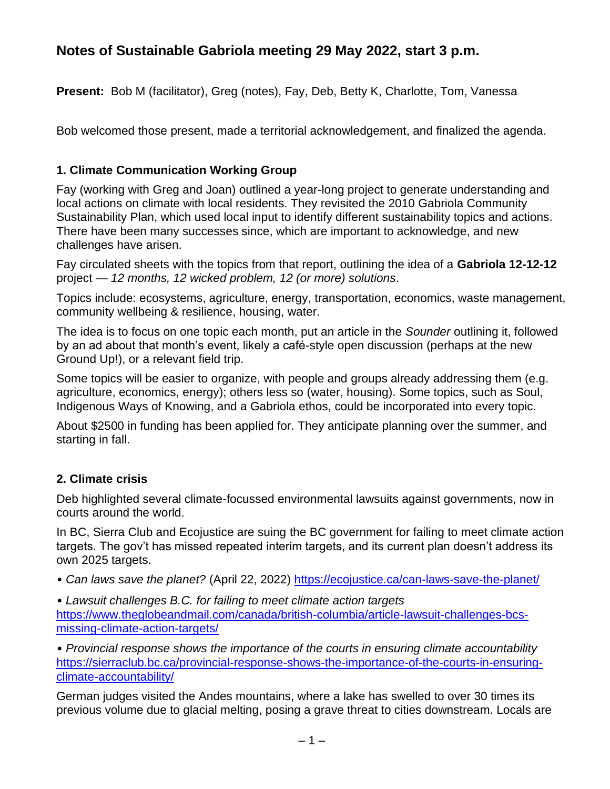# **Notes of Sustainable Gabriola meeting 29 May 2022, start 3 p.m.**

**Present:** Bob M (facilitator), Greg (notes), Fay, Deb, Betty K, Charlotte, Tom, Vanessa

Bob welcomed those present, made a territorial acknowledgement, and finalized the agenda.

## **1. Climate Communication Working Group**

Fay (working with Greg and Joan) outlined a year-long project to generate understanding and local actions on climate with local residents. They revisited the 2010 Gabriola Community Sustainability Plan, which used local input to identify different sustainability topics and actions. There have been many successes since, which are important to acknowledge, and new challenges have arisen.

Fay circulated sheets with the topics from that report, outlining the idea of a **Gabriola 12-12-12** project — *12 months, 12 wicked problem, 12 (or more) solutions*.

Topics include: ecosystems, agriculture, energy, transportation, economics, waste management, community wellbeing & resilience, housing, water.

The idea is to focus on one topic each month, put an article in the *Sounder* outlining it, followed by an ad about that month's event, likely a café-style open discussion (perhaps at the new Ground Up!), or a relevant field trip.

Some topics will be easier to organize, with people and groups already addressing them (e.g. agriculture, economics, energy); others less so (water, housing). Some topics, such as Soul, Indigenous Ways of Knowing, and a Gabriola ethos, could be incorporated into every topic.

About \$2500 in funding has been applied for. They anticipate planning over the summer, and starting in fall.

## **2. Climate crisis**

Deb highlighted several climate-focussed environmental lawsuits against governments, now in courts around the world.

In BC, Sierra Club and Ecojustice are suing the BC government for failing to meet climate action targets. The gov't has missed repeated interim targets, and its current plan doesn't address its own 2025 targets.

*• Can laws save the planet?* (April 22, 2022)<https://ecojustice.ca/can-laws-save-the-planet/>

*• Lawsuit challenges B.C. for failing to meet climate action targets* [https://www.theglobeandmail.com/canada/british-columbia/article-lawsuit-challenges-bcs](https://www.theglobeandmail.com/canada/british-columbia/article-lawsuit-challenges-bcs-missing-climate-action-targets/)[missing-climate-action-targets/](https://www.theglobeandmail.com/canada/british-columbia/article-lawsuit-challenges-bcs-missing-climate-action-targets/)

*• Provincial response shows the importance of the courts in ensuring climate accountability* [https://sierraclub.bc.ca/provincial-response-shows-the-importance-of-the-courts-in-ensuring](https://sierraclub.bc.ca/provincial-response-shows-the-importance-of-the-courts-in-ensuring-climate-accountability/)[climate-accountability/](https://sierraclub.bc.ca/provincial-response-shows-the-importance-of-the-courts-in-ensuring-climate-accountability/)

German judges visited the Andes mountains, where a lake has swelled to over 30 times its previous volume due to glacial melting, posing a grave threat to cities downstream. Locals are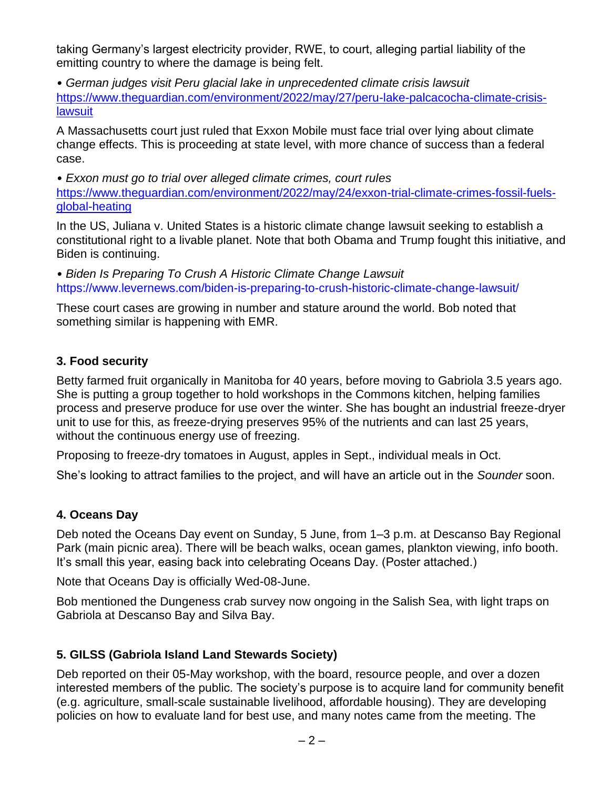taking Germany's largest electricity provider, RWE, to court, alleging partial liability of the emitting country to where the damage is being felt.

*• German judges visit Peru glacial lake in unprecedented climate crisis lawsuit* [https://www.theguardian.com/environment/2022/may/27/peru-lake-palcacocha-climate-crisis](https://www.theguardian.com/environment/2022/may/27/peru-lake-palcacocha-climate-crisis-lawsuit)**[lawsuit](https://www.theguardian.com/environment/2022/may/27/peru-lake-palcacocha-climate-crisis-lawsuit)** 

A Massachusetts court just ruled that Exxon Mobile must face trial over lying about climate change effects. This is proceeding at state level, with more chance of success than a federal case.

*• Exxon must go to trial over alleged climate crimes, court rules*  [https://www.theguardian.com/environment/2022/may/24/exxon-trial-climate-crimes-fossil-fuels](https://www.theguardian.com/environment/2022/may/24/exxon-trial-climate-crimes-fossil-fuels-global-heating)[global-heating](https://www.theguardian.com/environment/2022/may/24/exxon-trial-climate-crimes-fossil-fuels-global-heating)

In the US, Juliana v. United States is a historic climate change lawsuit seeking to establish a constitutional right to a livable planet. Note that both Obama and Trump fought this initiative, and Biden is continuing.

*• Biden Is Preparing To Crush A Historic Climate Change Lawsuit*  <https://www.levernews.com/biden-is-preparing-to-crush-historic-climate-change-lawsuit/>

These court cases are growing in number and stature around the world. Bob noted that something similar is happening with EMR.

## **3. Food security**

Betty farmed fruit organically in Manitoba for 40 years, before moving to Gabriola 3.5 years ago. She is putting a group together to hold workshops in the Commons kitchen, helping families process and preserve produce for use over the winter. She has bought an industrial freeze-dryer unit to use for this, as freeze-drying preserves 95% of the nutrients and can last 25 years, without the continuous energy use of freezing.

Proposing to freeze-dry tomatoes in August, apples in Sept., individual meals in Oct.

She's looking to attract families to the project, and will have an article out in the *Sounder* soon.

## **4. Oceans Day**

Deb noted the Oceans Day event on Sunday, 5 June, from 1–3 p.m. at Descanso Bay Regional Park (main picnic area). There will be beach walks, ocean games, plankton viewing, info booth. It's small this year, easing back into celebrating Oceans Day. (Poster attached.)

Note that Oceans Day is officially Wed-08-June.

Bob mentioned the Dungeness crab survey now ongoing in the Salish Sea, with light traps on Gabriola at Descanso Bay and Silva Bay.

## **5. GILSS (Gabriola Island Land Stewards Society)**

Deb reported on their 05-May workshop, with the board, resource people, and over a dozen interested members of the public. The society's purpose is to acquire land for community benefit (e.g. agriculture, small-scale sustainable livelihood, affordable housing). They are developing policies on how to evaluate land for best use, and many notes came from the meeting. The